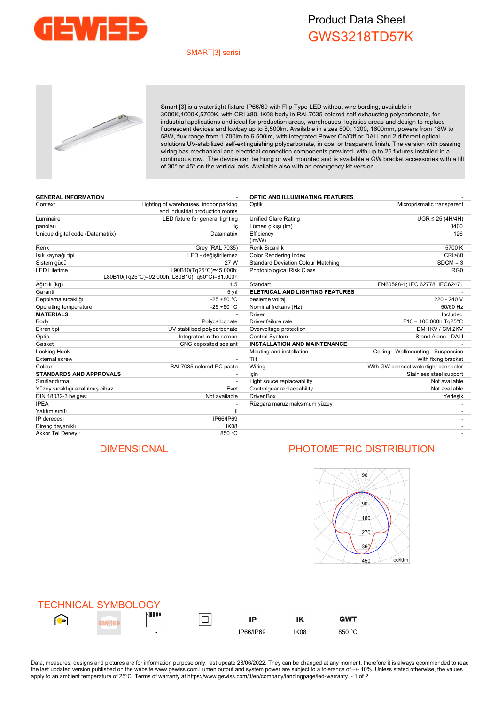

## Product Data Sheet GWS3218TD57K

### SMART[3] serisi



Smart [3] is a watertight fixture IP66/69 with Flip Type LED without wire bording, available in 3000K,4000K,5700K, with CRI ≥80. IK08 body in RAL7035 colored self-exhausting polycarbonate, for industrial applications and ideal for production areas, warehouses, logistics areas and design to replace fluorescent devices and lowbay up to 6,500lm. Available in sizes 800, 1200, 1600mm, powers from 18W to 58W, flux range from 1.700lm to 6.500lm, with integrated Power On/Off or DALI and 2 different optical solutions UV-stabilized self-extinguishing polycarbonate, in opal or trasparent finish. The version with passing wiring has mechanical and electrical connection components prewired, with up to 25 fixtures installed in a continuous row. The device can be hung or wall mounted and is available a GW bracket accessories with a tilt of 30° or 45° on the vertical axis. Available also with an emergency kit version.

| <b>GENERAL INFORMATION</b>       |                                                                           | <b>OPTIC AND ILLUMINATING FEATURES</b>    |                                      |  |  |
|----------------------------------|---------------------------------------------------------------------------|-------------------------------------------|--------------------------------------|--|--|
| Context                          | Lighting of warehouses, indoor parking<br>and industrial production rooms | Microprismatic transparent<br>Optik       |                                      |  |  |
| Luminaire                        | LED fixture for general lighting                                          | <b>Unified Glare Rating</b>               | $UGR \leq 25$ (4H/4H)                |  |  |
| panoları                         | lç                                                                        | Lümen çıkışı (Im)                         | 3400                                 |  |  |
| Unique digital code (Datamatrix) | Datamatrix                                                                | Efficiency<br>(lm/W)                      | 126                                  |  |  |
| Renk                             | Grey (RAL 7035)                                                           | Renk Sıcaklık                             | 5700 K                               |  |  |
| lşık kaynağı tipi                | LED - değiştirilemez                                                      | <b>Color Rendering Index</b>              | <b>CRI&gt;80</b>                     |  |  |
| Sistem gücü                      | 27 W                                                                      | <b>Standard Deviation Colour Matching</b> | $SDCM = 3$                           |  |  |
| <b>LED Lifetime</b>              | L90B10(Tq25°C)=45.000h;<br>L80B10(Tg25°C)=92.000h; L80B10(Tg50°C)=81.000h | Photobiological Risk Class                | RG <sub>0</sub>                      |  |  |
| Ağırlık (kg)                     | 1.5                                                                       | Standart                                  | EN60598-1; IEC 62778; IEC62471       |  |  |
| Garanti                          | 5 yıl                                                                     | <b>ELETRICAL AND LIGHTING FEATURES</b>    |                                      |  |  |
| Depolama sıcaklığı               | $-25 + 80 °C$                                                             | besleme voltaj                            | 220 - 240 V                          |  |  |
| Operating temperature            | $-25 + 50 °C$                                                             | Nominal frekans (Hz)                      | 50/60 Hz                             |  |  |
| <b>MATERIALS</b>                 |                                                                           | <b>Driver</b>                             | Included                             |  |  |
| Body                             | Polycarbonate                                                             | Driver failure rate                       | $F10 = 100.000h$ Tg25°C              |  |  |
| Ekran tipi                       | UV stabilised polycarbonate                                               | Overvoltage protection                    | DM 1KV / CM 2KV                      |  |  |
| Optic                            | Integrated in the screen                                                  | <b>Control System</b>                     | Stand Alone - DALI                   |  |  |
| Gasket                           | CNC deposited sealant                                                     | <b>INSTALLATION AND MAINTENANCE</b>       |                                      |  |  |
| Locking Hook                     |                                                                           | Mouting and installation                  | Ceiling - Wallmounting - Suspension  |  |  |
| External screw                   | $\overline{\phantom{a}}$                                                  | Tilt                                      | With fixing bracket                  |  |  |
| Colour                           | RAL7035 colored PC paste                                                  | Wiring                                    | With GW connect watertight connector |  |  |
| <b>STANDARDS AND APPROVALS</b>   |                                                                           | icin                                      | Stainless steel support              |  |  |
| Siniflandirma                    |                                                                           | Light souce replaceability                | Not available                        |  |  |
| Yüzey sıcaklığı azaltılmış cihaz | Evet                                                                      | Controlgear replaceability                | Not available                        |  |  |
| DIN 18032-3 belgesi              | Not available                                                             | <b>Driver Box</b>                         | Yerleşik                             |  |  |
| <b>IPEA</b>                      |                                                                           | Rüzgara maruz maksimum yüzey              |                                      |  |  |
| Yalıtım sınıfı                   | Ш                                                                         |                                           |                                      |  |  |
| IP derecesi                      | IP66/IP69                                                                 |                                           |                                      |  |  |
| Direnç dayanıklı                 | IK08                                                                      |                                           |                                      |  |  |
| Akkor Tel Deneyi:                | 850 °C                                                                    |                                           |                                      |  |  |
|                                  |                                                                           |                                           |                                      |  |  |

## DIMENSIONAL PHOTOMETRIC DISTRIBUTION



| <b>TECHNICAL SYMBOLOGY</b> |                |   |           |             |            |
|----------------------------|----------------|---|-----------|-------------|------------|
| $\bigcap_{\mathbb{D}}$     | <b>de 19</b>   | — | IP        | ΙK          | <b>GWT</b> |
|                            | $\overline{a}$ |   | IP66/IP69 | <b>IK08</b> | 850 °C     |

Data, measures, designs and pictures are for information purpose only, last update 28/06/2022. They can be changed at any moment, therefore it is always ecommended to read the last updated version published on the website www.gewiss.com.Lumen output and system power are subject to a tolerance of +/-10%. Unless stated otherwise, the values apply to an ambient temperature of 25°C. Terms of warranty at https://www.gewiss.com/it/en/company/landingpage/led-warranty. - 1 of 2